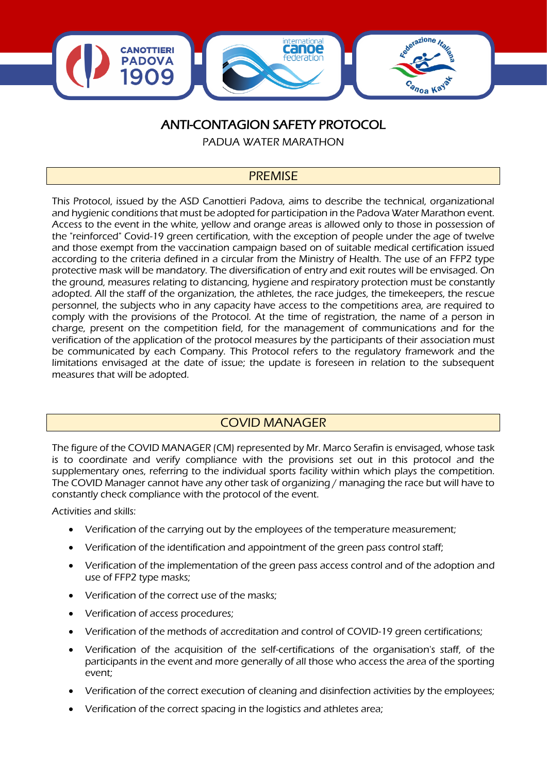

# ANTI-CONTAGION SAFETY PROTOCOL

PADUA WATER MARATHON

## PREMISE

This Protocol, issued by the ASD Canottieri Padova, aims to describe the technical, organizational and hygienic conditions that must be adopted for participation in the Padova Water Marathon event. Access to the event in the white, yellow and orange areas is allowed only to those in possession of the "reinforced" Covid-19 green certification, with the exception of people under the age of twelve and those exempt from the vaccination campaign based on of suitable medical certification issued according to the criteria defined in a circular from the Ministry of Health. The use of an FFP2 type protective mask will be mandatory. The diversification of entry and exit routes will be envisaged. On the ground, measures relating to distancing, hygiene and respiratory protection must be constantly adopted. All the staff of the organization, the athletes, the race judges, the timekeepers, the rescue personnel, the subjects who in any capacity have access to the competitions area, are required to comply with the provisions of the Protocol. At the time of registration, the name of a person in charge, present on the competition field, for the management of communications and for the verification of the application of the protocol measures by the participants of their association must be communicated by each Company. This Protocol refers to the regulatory framework and the limitations envisaged at the date of issue; the update is foreseen in relation to the subsequent measures that will be adopted.

# COVID MANAGER

The figure of the COVID MANAGER (CM) represented by Mr. Marco Serafin is envisaged, whose task is to coordinate and verify compliance with the provisions set out in this protocol and the supplementary ones, referring to the individual sports facility within which plays the competition. The COVID Manager cannot have any other task of organizing / managing the race but will have to constantly check compliance with the protocol of the event.

Activities and skills:

- Verification of the carrying out by the employees of the temperature measurement;
- Verification of the identification and appointment of the green pass control staff;
- Verification of the implementation of the green pass access control and of the adoption and use of FFP2 type masks;
- Verification of the correct use of the masks;
- Verification of access procedures;
- Verification of the methods of accreditation and control of COVID-19 green certifications;
- Verification of the acquisition of the self-certifications of the organisation's staff, of the participants in the event and more generally of all those who access the area of the sporting event;
- Verification of the correct execution of cleaning and disinfection activities by the employees;
- Verification of the correct spacing in the logistics and athletes area;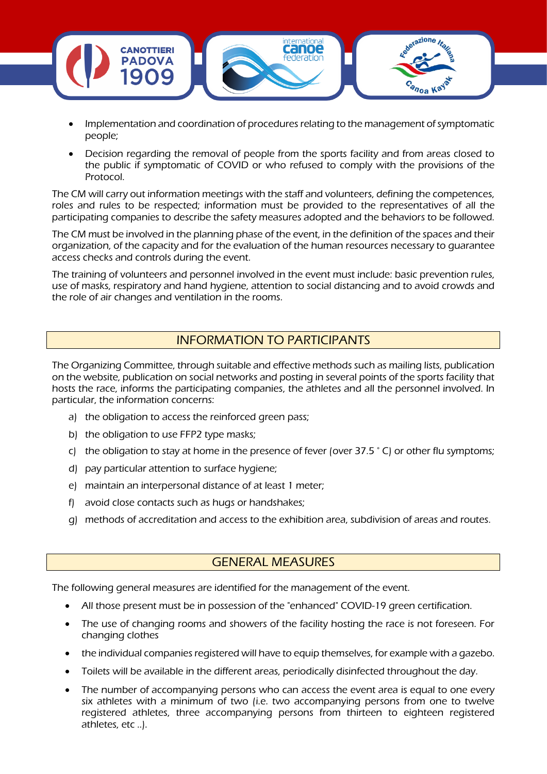

- Implementation and coordination of procedures relating to the management of symptomatic people;
- Decision regarding the removal of people from the sports facility and from areas closed to the public if symptomatic of COVID or who refused to comply with the provisions of the Protocol.

The CM will carry out information meetings with the staff and volunteers, defining the competences, roles and rules to be respected; information must be provided to the representatives of all the participating companies to describe the safety measures adopted and the behaviors to be followed.

The CM must be involved in the planning phase of the event, in the definition of the spaces and their organization, of the capacity and for the evaluation of the human resources necessary to guarantee access checks and controls during the event.

The training of volunteers and personnel involved in the event must include: basic prevention rules, use of masks, respiratory and hand hygiene, attention to social distancing and to avoid crowds and the role of air changes and ventilation in the rooms.

## INFORMATION TO PARTICIPANTS

The Organizing Committee, through suitable and effective methods such as mailing lists, publication on the website, publication on social networks and posting in several points of the sports facility that hosts the race, informs the participating companies, the athletes and all the personnel involved. In particular, the information concerns:

- a) the obligation to access the reinforced green pass;
- b) the obligation to use FFP2 type masks;
- c) the obligation to stay at home in the presence of fever (over  $37.5 \degree$  C) or other flu symptoms;
- d) pay particular attention to surface hygiene;
- e) maintain an interpersonal distance of at least 1 meter;
- f) avoid close contacts such as hugs or handshakes;
- g) methods of accreditation and access to the exhibition area, subdivision of areas and routes.

### GENERAL MEASURES

The following general measures are identified for the management of the event.

- All those present must be in possession of the "enhanced" COVID-19 green certification.
- The use of changing rooms and showers of the facility hosting the race is not foreseen. For changing clothes
- the individual companies registered will have to equip themselves, for example with a gazebo.
- Toilets will be available in the different areas, periodically disinfected throughout the day.
- The number of accompanying persons who can access the event area is equal to one every six athletes with a minimum of two (i.e. two accompanying persons from one to twelve registered athletes, three accompanying persons from thirteen to eighteen registered athletes, etc ..).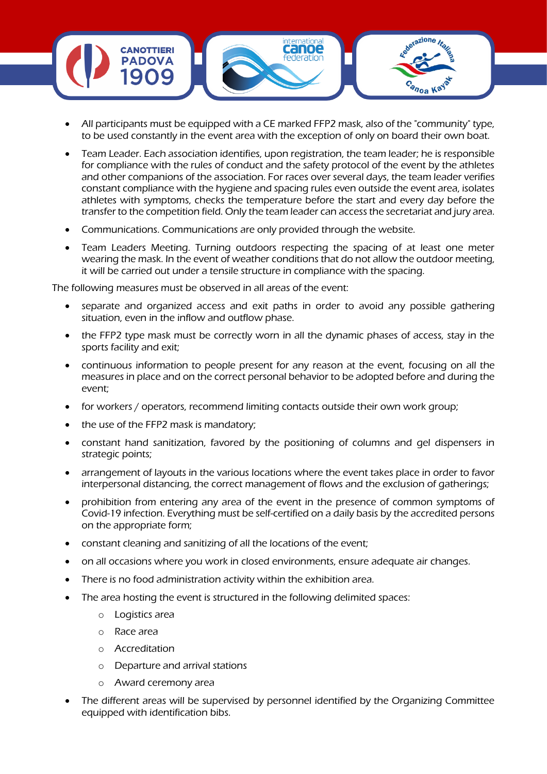

- All participants must be equipped with a CE marked FFP2 mask, also of the "community" type, to be used constantly in the event area with the exception of only on board their own boat.
- Team Leader. Each association identifies, upon registration, the team leader; he is responsible for compliance with the rules of conduct and the safety protocol of the event by the athletes and other companions of the association. For races over several days, the team leader verifies constant compliance with the hygiene and spacing rules even outside the event area, isolates athletes with symptoms, checks the temperature before the start and every day before the transfer to the competition field. Only the team leader can access the secretariat and jury area.
- Communications. Communications are only provided through the website.
- Team Leaders Meeting. Turning outdoors respecting the spacing of at least one meter wearing the mask. In the event of weather conditions that do not allow the outdoor meeting, it will be carried out under a tensile structure in compliance with the spacing.

The following measures must be observed in all areas of the event:

- separate and organized access and exit paths in order to avoid any possible gathering situation, even in the inflow and outflow phase.
- the FFP2 type mask must be correctly worn in all the dynamic phases of access, stay in the sports facility and exit;
- continuous information to people present for any reason at the event, focusing on all the measures in place and on the correct personal behavior to be adopted before and during the event;
- for workers / operators, recommend limiting contacts outside their own work group;
- the use of the FFP2 mask is mandatory;
- constant hand sanitization, favored by the positioning of columns and gel dispensers in strategic points;
- arrangement of layouts in the various locations where the event takes place in order to favor interpersonal distancing, the correct management of flows and the exclusion of gatherings;
- prohibition from entering any area of the event in the presence of common symptoms of Covid-19 infection. Everything must be self-certified on a daily basis by the accredited persons on the appropriate form;
- constant cleaning and sanitizing of all the locations of the event;
- on all occasions where you work in closed environments, ensure adequate air changes.
- There is no food administration activity within the exhibition area.
- The area hosting the event is structured in the following delimited spaces:
	- o Logistics area
	- o Race area
	- o Accreditation
	- o Departure and arrival stations
	- o Award ceremony area
- The different areas will be supervised by personnel identified by the Organizing Committee equipped with identification bibs.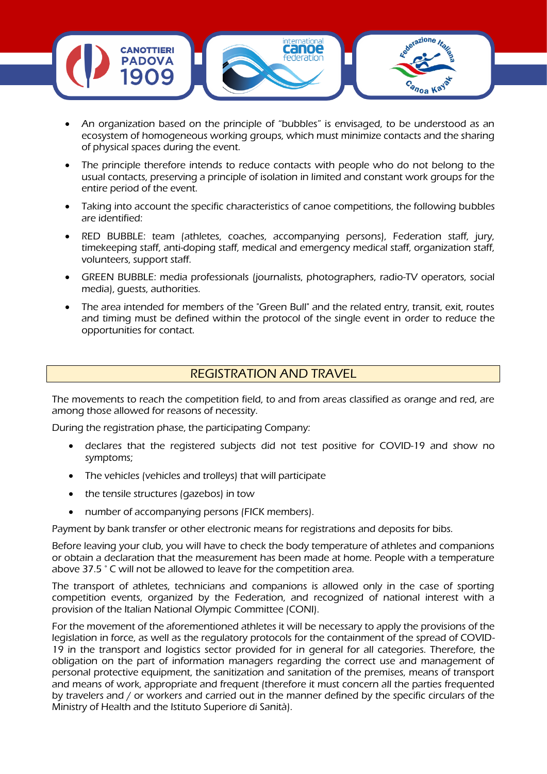

- An organization based on the principle of "bubbles" is envisaged, to be understood as an ecosystem of homogeneous working groups, which must minimize contacts and the sharing of physical spaces during the event.
- The principle therefore intends to reduce contacts with people who do not belong to the usual contacts, preserving a principle of isolation in limited and constant work groups for the entire period of the event.
- Taking into account the specific characteristics of canoe competitions, the following bubbles are identified:
- RED BUBBLE: team (athletes, coaches, accompanying persons), Federation staff, jury, timekeeping staff, anti-doping staff, medical and emergency medical staff, organization staff, volunteers, support staff.
- GREEN BUBBLE: media professionals (journalists, photographers, radio-TV operators, social media), guests, authorities.
- The area intended for members of the "Green Bull" and the related entry, transit, exit, routes and timing must be defined within the protocol of the single event in order to reduce the opportunities for contact.

## REGISTRATION AND TRAVEL

The movements to reach the competition field, to and from areas classified as orange and red, are among those allowed for reasons of necessity.

During the registration phase, the participating Company:

- declares that the registered subjects did not test positive for COVID-19 and show no symptoms;
- The vehicles (vehicles and trolleys) that will participate
- the tensile structures (gazebos) in tow
- number of accompanying persons (FICK members).

Payment by bank transfer or other electronic means for registrations and deposits for bibs.

Before leaving your club, you will have to check the body temperature of athletes and companions or obtain a declaration that the measurement has been made at home. People with a temperature above 37.5 ° C will not be allowed to leave for the competition area.

The transport of athletes, technicians and companions is allowed only in the case of sporting competition events, organized by the Federation, and recognized of national interest with a provision of the Italian National Olympic Committee (CONI).

For the movement of the aforementioned athletes it will be necessary to apply the provisions of the legislation in force, as well as the regulatory protocols for the containment of the spread of COVID-19 in the transport and logistics sector provided for in general for all categories. Therefore, the obligation on the part of information managers regarding the correct use and management of personal protective equipment, the sanitization and sanitation of the premises, means of transport and means of work, appropriate and frequent (therefore it must concern all the parties frequented by travelers and / or workers and carried out in the manner defined by the specific circulars of the Ministry of Health and the Istituto Superiore di Sanità).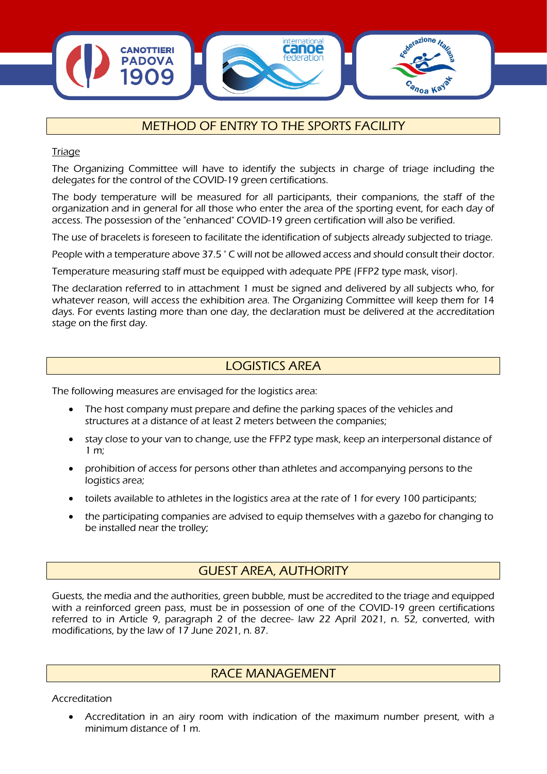

# METHOD OF ENTRY TO THE SPORTS FACILITY

**Triage** 

The Organizing Committee will have to identify the subjects in charge of triage including the delegates for the control of the COVID-19 green certifications.

The body temperature will be measured for all participants, their companions, the staff of the organization and in general for all those who enter the area of the sporting event, for each day of access. The possession of the "enhanced" COVID-19 green certification will also be verified.

The use of bracelets is foreseen to facilitate the identification of subjects already subjected to triage.

People with a temperature above 37.5 ° C will not be allowed access and should consult their doctor.

Temperature measuring staff must be equipped with adequate PPE (FFP2 type mask, visor).

The declaration referred to in attachment 1 must be signed and delivered by all subjects who, for whatever reason, will access the exhibition area. The Organizing Committee will keep them for 14 days. For events lasting more than one day, the declaration must be delivered at the accreditation stage on the first day.

## LOGISTICS AREA

The following measures are envisaged for the logistics area:

- The host company must prepare and define the parking spaces of the vehicles and structures at a distance of at least 2 meters between the companies;
- stay close to your van to change, use the FFP2 type mask, keep an interpersonal distance of 1 m;
- prohibition of access for persons other than athletes and accompanying persons to the logistics area;
- toilets available to athletes in the logistics area at the rate of 1 for every 100 participants;
- the participating companies are advised to equip themselves with a gazebo for changing to be installed near the trolley;

# GUEST AREA, AUTHORITY

Guests, the media and the authorities, green bubble, must be accredited to the triage and equipped with a reinforced green pass, must be in possession of one of the COVID-19 green certifications referred to in Article 9, paragraph 2 of the decree- law 22 April 2021, n. 52, converted, with modifications, by the law of 17 June 2021, n. 87.

### RACE MANAGEMENT

Accreditation

• Accreditation in an airy room with indication of the maximum number present, with a minimum distance of 1 m.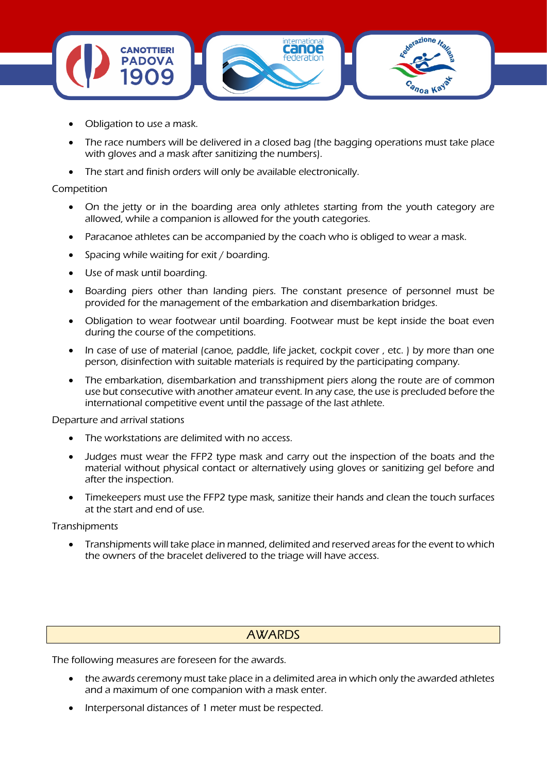

- Obligation to use a mask.
- The race numbers will be delivered in a closed bag (the bagging operations must take place with gloves and a mask after sanitizing the numbers).
- The start and finish orders will only be available electronically.

#### Competition

- On the jetty or in the boarding area only athletes starting from the youth category are allowed, while a companion is allowed for the youth categories.
- Paracanoe athletes can be accompanied by the coach who is obliged to wear a mask.
- Spacing while waiting for exit / boarding.
- Use of mask until boarding.
- Boarding piers other than landing piers. The constant presence of personnel must be provided for the management of the embarkation and disembarkation bridges.
- Obligation to wear footwear until boarding. Footwear must be kept inside the boat even during the course of the competitions.
- In case of use of material (canoe, paddle, life jacket, cockpit cover, etc.) by more than one person, disinfection with suitable materials is required by the participating company.
- The embarkation, disembarkation and transshipment piers along the route are of common use but consecutive with another amateur event. In any case, the use is precluded before the international competitive event until the passage of the last athlete.

Departure and arrival stations

- The workstations are delimited with no access.
- Judges must wear the FFP2 type mask and carry out the inspection of the boats and the material without physical contact or alternatively using gloves or sanitizing gel before and after the inspection.
- Timekeepers must use the FFP2 type mask, sanitize their hands and clean the touch surfaces at the start and end of use.

#### **Transhipments**

• Transhipments will take place in manned, delimited and reserved areas for the event to which the owners of the bracelet delivered to the triage will have access.

### AWARDS

The following measures are foreseen for the awards.

- the awards ceremony must take place in a delimited area in which only the awarded athletes and a maximum of one companion with a mask enter.
- Interpersonal distances of 1 meter must be respected.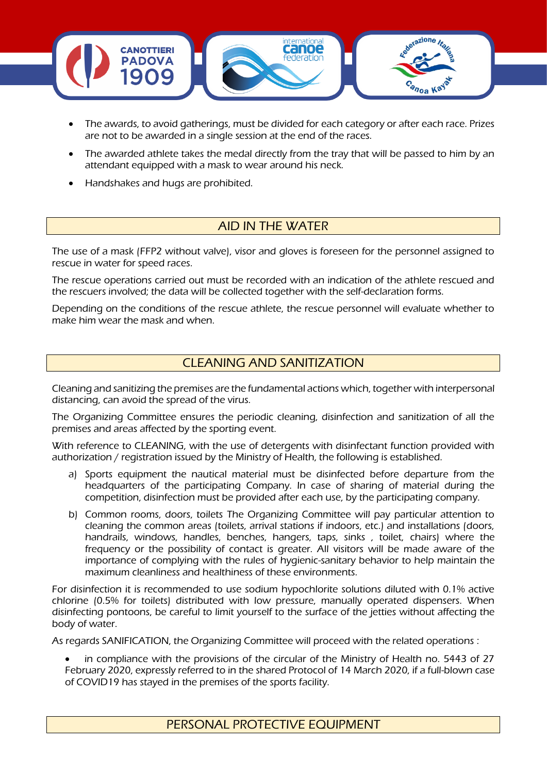

- The awards, to avoid gatherings, must be divided for each category or after each race. Prizes are not to be awarded in a single session at the end of the races.
- The awarded athlete takes the medal directly from the tray that will be passed to him by an attendant equipped with a mask to wear around his neck.
- Handshakes and hugs are prohibited.

# AID IN THE WATER

The use of a mask (FFP2 without valve), visor and gloves is foreseen for the personnel assigned to rescue in water for speed races.

The rescue operations carried out must be recorded with an indication of the athlete rescued and the rescuers involved; the data will be collected together with the self-declaration forms.

Depending on the conditions of the rescue athlete, the rescue personnel will evaluate whether to make him wear the mask and when.

## CLEANING AND SANITIZATION

Cleaning and sanitizing the premises are the fundamental actions which, together with interpersonal distancing, can avoid the spread of the virus.

The Organizing Committee ensures the periodic cleaning, disinfection and sanitization of all the premises and areas affected by the sporting event.

With reference to CLEANING, with the use of detergents with disinfectant function provided with authorization / registration issued by the Ministry of Health, the following is established.

- a) Sports equipment the nautical material must be disinfected before departure from the headquarters of the participating Company. In case of sharing of material during the competition, disinfection must be provided after each use, by the participating company.
- b) Common rooms, doors, toilets The Organizing Committee will pay particular attention to cleaning the common areas (toilets, arrival stations if indoors, etc.) and installations (doors, handrails, windows, handles, benches, hangers, taps, sinks , toilet, chairs) where the frequency or the possibility of contact is greater. All visitors will be made aware of the importance of complying with the rules of hygienic-sanitary behavior to help maintain the maximum cleanliness and healthiness of these environments.

For disinfection it is recommended to use sodium hypochlorite solutions diluted with 0.1% active chlorine (0.5% for toilets) distributed with low pressure, manually operated dispensers. When disinfecting pontoons, be careful to limit yourself to the surface of the jetties without affecting the body of water.

As regards SANIFICATION, the Organizing Committee will proceed with the related operations :

in compliance with the provisions of the circular of the Ministry of Health no. 5443 of 27 February 2020, expressly referred to in the shared Protocol of 14 March 2020, if a full-blown case of COVID19 has stayed in the premises of the sports facility.

PERSONAL PROTECTIVE EQUIPMENT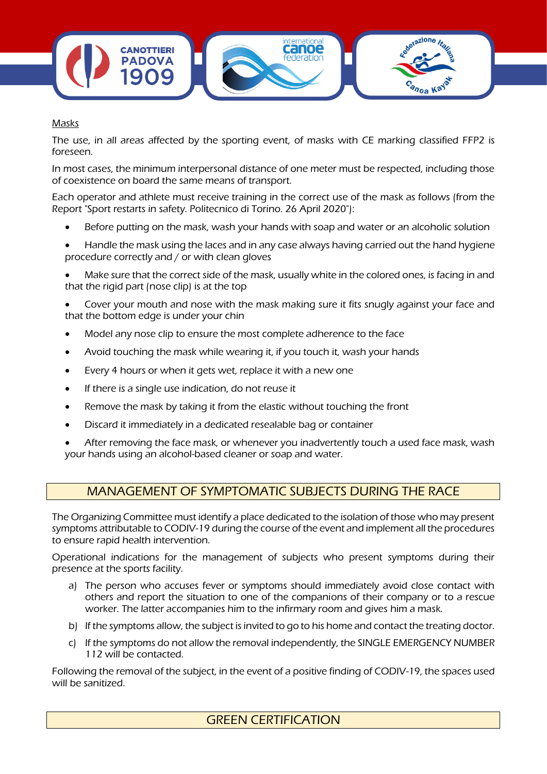

#### Masks

The use, in all areas affected by the sporting event, of masks with CE marking classified FFP2 is foreseen.

In most cases, the minimum interpersonal distance of one meter must be respected, including those of coexistence on board the same means of transport.

Each operator and athlete must receive training in the correct use of the mask as follows (from the Report "Sport restarts in safety. Politecnico di Torino. 26 April 2020"):

- Before putting on the mask, wash your hands with soap and water or an alcoholic solution
- Handle the mask using the laces and in any case always having carried out the hand hygiene procedure correctly and / or with clean gloves

• Make sure that the correct side of the mask, usually white in the colored ones, is facing in and that the rigid part (nose clip) is at the top

• Cover your mouth and nose with the mask making sure it fits snugly against your face and that the bottom edge is under your chin

- Model any nose clip to ensure the most complete adherence to the face
- Avoid touching the mask while wearing it, if you touch it, wash your hands
- Every 4 hours or when it gets wet, replace it with a new one
- If there is a single use indication, do not reuse it
- Remove the mask by taking it from the elastic without touching the front
- Discard it immediately in a dedicated resealable bag or container
- After removing the face mask, or whenever you inadvertently touch a used face mask, wash your hands using an alcohol-based cleaner or soap and water.

### MANAGEMENT OF SYMPTOMATIC SUBJECTS DURING THE RACE

The Organizing Committee must identify a place dedicated to the isolation of those who may present symptoms attributable to CODIV-19 during the course of the event and implement all the procedures to ensure rapid health intervention.

Operational indications for the management of subjects who present symptoms during their presence at the sports facility.

- a) The person who accuses fever or symptoms should immediately avoid close contact with others and report the situation to one of the companions of their company or to a rescue worker. The latter accompanies him to the infirmary room and gives him a mask.
- b) If the symptoms allow, the subject is invited to go to his home and contact the treating doctor.
- c) If the symptoms do not allow the removal independently, the SINGLE EMERGENCY NUMBER 112 will be contacted.

Following the removal of the subject, in the event of a positive finding of CODIV-19, the spaces used will be sanitized.

### GREEN CERTIFICATION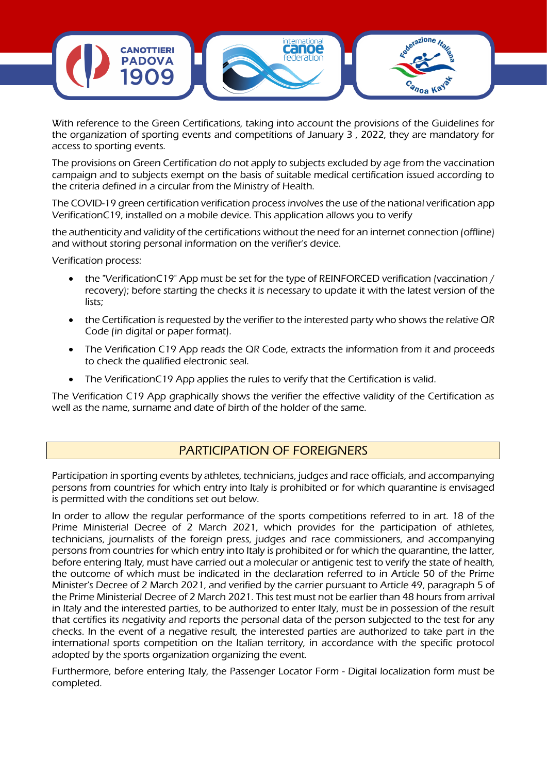

With reference to the Green Certifications, taking into account the provisions of the Guidelines for the organization of sporting events and competitions of January 3 , 2022, they are mandatory for access to sporting events.

The provisions on Green Certification do not apply to subjects excluded by age from the vaccination campaign and to subjects exempt on the basis of suitable medical certification issued according to the criteria defined in a circular from the Ministry of Health.

The COVID-19 green certification verification process involves the use of the national verification app VerificationC19, installed on a mobile device. This application allows you to verify

the authenticity and validity of the certifications without the need for an internet connection (offline) and without storing personal information on the verifier's device.

Verification process:

- the "VerificationC19" App must be set for the type of REINFORCED verification (vaccination / recovery); before starting the checks it is necessary to update it with the latest version of the lists;
- the Certification is requested by the verifier to the interested party who shows the relative QR Code (in digital or paper format).
- The Verification C19 App reads the QR Code, extracts the information from it and proceeds to check the qualified electronic seal.
- The VerificationC19 App applies the rules to verify that the Certification is valid.

The Verification C19 App graphically shows the verifier the effective validity of the Certification as well as the name, surname and date of birth of the holder of the same.

### PARTICIPATION OF FOREIGNERS

Participation in sporting events by athletes, technicians, judges and race officials, and accompanying persons from countries for which entry into Italy is prohibited or for which quarantine is envisaged is permitted with the conditions set out below.

In order to allow the regular performance of the sports competitions referred to in art. 18 of the Prime Ministerial Decree of 2 March 2021, which provides for the participation of athletes, technicians, journalists of the foreign press, judges and race commissioners, and accompanying persons from countries for which entry into Italy is prohibited or for which the quarantine, the latter, before entering Italy, must have carried out a molecular or antigenic test to verify the state of health, the outcome of which must be indicated in the declaration referred to in Article 50 of the Prime Minister's Decree of 2 March 2021, and verified by the carrier pursuant to Article 49, paragraph 5 of the Prime Ministerial Decree of 2 March 2021. This test must not be earlier than 48 hours from arrival in Italy and the interested parties, to be authorized to enter Italy, must be in possession of the result that certifies its negativity and reports the personal data of the person subjected to the test for any checks. In the event of a negative result, the interested parties are authorized to take part in the international sports competition on the Italian territory, in accordance with the specific protocol adopted by the sports organization organizing the event.

Furthermore, before entering Italy, the Passenger Locator Form - Digital localization form must be completed.